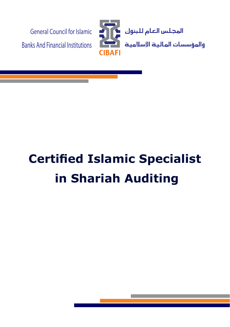

# **Certified Islamic Specialist In Shariah Auditing**

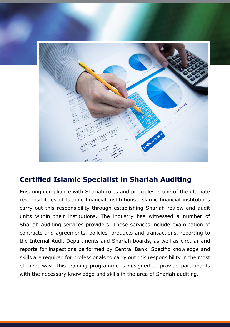

# **Certified Islamic Specialist in Shariah Auditing**

Ensuring compliance with Shariah rules and principles is one of the ultimate responsibilities of Islamic financial institutions. Islamic financial institutions carry out this responsibility through establishing Shariah review and audit units within their institutions. The industry has witnessed a number of Shariah auditing services providers. These services include examination of contracts and agreements, policies, products and transactions, reporting to the Internal Audit Departments and Shariah boards, as well as circular and reports for inspections performed by Central Bank. Specific knowledge and skills are required for professionals to carry out this responsibility in the most efficient way. This training programme is designed to provide participants with the necessary knowledge and skills in the area of Shariah auditing.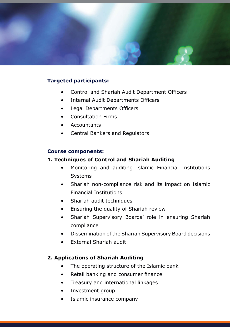

### **Targeted participants:**

- Control and Shariah Audit Department Officers
- Internal Audit Departments Officers
- Legal Departments Officers
- Consultation Firms
- Accountants
- Central Bankers and Regulators

#### **Course components:**

#### **1. Techniques of Control and Shariah Auditing**

- Monitoring and auditing Islamic Financial Institutions **Systems**
- Shariah non-compliance risk and its impact on Islamic **Financial Institutions**
- Shariah audit techniques
- Ensuring the quality of Shariah review
- Shariah Supervisory Boards' role in ensuring Shariah compliance
- Dissemination of the Shariah Supervisory Board decisions
- $\bullet$  External Shariah audit

#### **2. Applications of Shariah Auditing**

- The operating structure of the Islamic bank
- Retail banking and consumer finance
- Treasury and international linkages
- Investment group
- Islamic insurance company